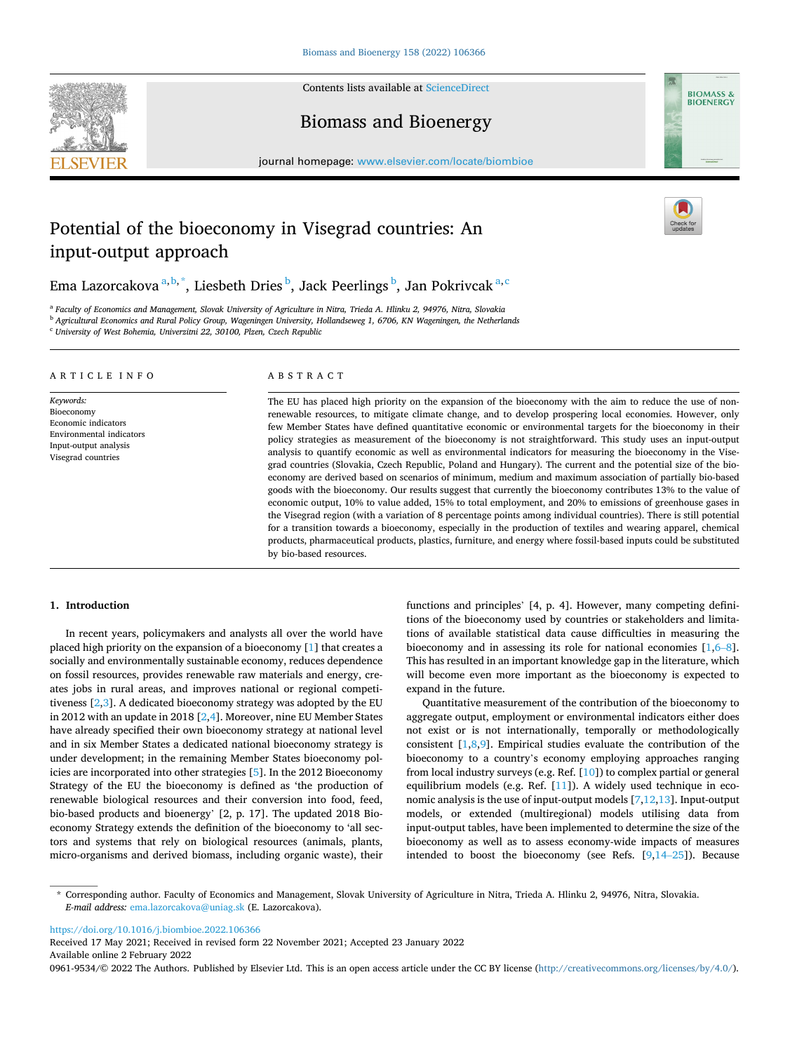Contents lists available at [ScienceDirect](www.sciencedirect.com/science/journal/09619534)





## Biomass and Bioenergy

journal homepage: [www.elsevier.com/locate/biombioe](https://www.elsevier.com/locate/biombioe)

# Potential of the bioeconomy in Visegrad countries: An input-output approach

Ema Lazorcakova <sup>a, b, \*</sup>, Liesbeth Dries <sup>b</sup>, Jack Peerlings <sup>b</sup>, Jan Pokrivcak <sup>a, c</sup>

<sup>a</sup> *Faculty of Economics and Management, Slovak University of Agriculture in Nitra, Trieda A. Hlinku 2, 94976, Nitra, Slovakia* <sup>b</sup> *Agricultural Economics and Rural Policy Group, Wageningen University, Hollandseweg 1, 6706, KN Wageningen, the Netherlands* 

<sup>c</sup> *University of West Bohemia, Univerzitni 22, 30100, Plzen, Czech Republic* 

#### ARTICLE INFO

*Keywords:*  Bioeconomy Economic indicators Environmental indicators Input-output analysis Visegrad countries

## ABSTRACT

The EU has placed high priority on the expansion of the bioeconomy with the aim to reduce the use of nonrenewable resources, to mitigate climate change, and to develop prospering local economies. However, only few Member States have defined quantitative economic or environmental targets for the bioeconomy in their policy strategies as measurement of the bioeconomy is not straightforward. This study uses an input-output analysis to quantify economic as well as environmental indicators for measuring the bioeconomy in the Visegrad countries (Slovakia, Czech Republic, Poland and Hungary). The current and the potential size of the bioeconomy are derived based on scenarios of minimum, medium and maximum association of partially bio-based goods with the bioeconomy. Our results suggest that currently the bioeconomy contributes 13% to the value of economic output, 10% to value added, 15% to total employment, and 20% to emissions of greenhouse gases in the Visegrad region (with a variation of 8 percentage points among individual countries). There is still potential for a transition towards a bioeconomy, especially in the production of textiles and wearing apparel, chemical products, pharmaceutical products, plastics, furniture, and energy where fossil-based inputs could be substituted by bio-based resources.

### **1. Introduction**

In recent years, policymakers and analysts all over the world have placed high priority on the expansion of a bioeconomy [[1](#page-7-0)] that creates a socially and environmentally sustainable economy, reduces dependence on fossil resources, provides renewable raw materials and energy, creates jobs in rural areas, and improves national or regional competitiveness  $[2,3]$  $[2,3]$ . A dedicated bioeconomy strategy was adopted by the EU in 2012 with an update in 2018 [[2,4\]](#page-7-0). Moreover, nine EU Member States have already specified their own bioeconomy strategy at national level and in six Member States a dedicated national bioeconomy strategy is under development; in the remaining Member States bioeconomy policies are incorporated into other strategies [[5](#page-7-0)]. In the 2012 Bioeconomy Strategy of the EU the bioeconomy is defined as 'the production of renewable biological resources and their conversion into food, feed, bio-based products and bioenergy' [2, p. 17]. The updated 2018 Bioeconomy Strategy extends the definition of the bioeconomy to 'all sectors and systems that rely on biological resources (animals, plants, micro-organisms and derived biomass, including organic waste), their

functions and principles' [4, p. 4]. However, many competing definitions of the bioeconomy used by countries or stakeholders and limitations of available statistical data cause difficulties in measuring the bioeconomy and in assessing its role for national economies [\[1,6](#page-7-0)–8]. This has resulted in an important knowledge gap in the literature, which will become even more important as the bioeconomy is expected to expand in the future.

Quantitative measurement of the contribution of the bioeconomy to aggregate output, employment or environmental indicators either does not exist or is not internationally, temporally or methodologically consistent  $[1,8,9]$  $[1,8,9]$ . Empirical studies evaluate the contribution of the bioeconomy to a country's economy employing approaches ranging from local industry surveys (e.g. Ref. [[10\]](#page-7-0)) to complex partial or general equilibrium models (e.g. Ref. [[11\]](#page-7-0)). A widely used technique in economic analysis is the use of input-output models [[7,12](#page-7-0),[13\]](#page-7-0). Input-output models, or extended (multiregional) models utilising data from input-output tables, have been implemented to determine the size of the bioeconomy as well as to assess economy-wide impacts of measures intended to boost the bioeconomy (see Refs. [\[9,](#page-7-0)14–[25\]](#page-7-0)). Because

<https://doi.org/10.1016/j.biombioe.2022.106366>

Available online 2 February 2022 Received 17 May 2021; Received in revised form 22 November 2021; Accepted 23 January 2022

0961-9534/© 2022 The Authors. Published by Elsevier Ltd. This is an open access article under the CC BY license [\(http://creativecommons.org/licenses/by/4.0/\)](http://creativecommons.org/licenses/by/4.0/).

<sup>\*</sup> Corresponding author. Faculty of Economics and Management, Slovak University of Agriculture in Nitra, Trieda A. Hlinku 2, 94976, Nitra, Slovakia. *E-mail address:* [ema.lazorcakova@uniag.sk](mailto:ema.lazorcakova@uniag.sk) (E. Lazorcakova).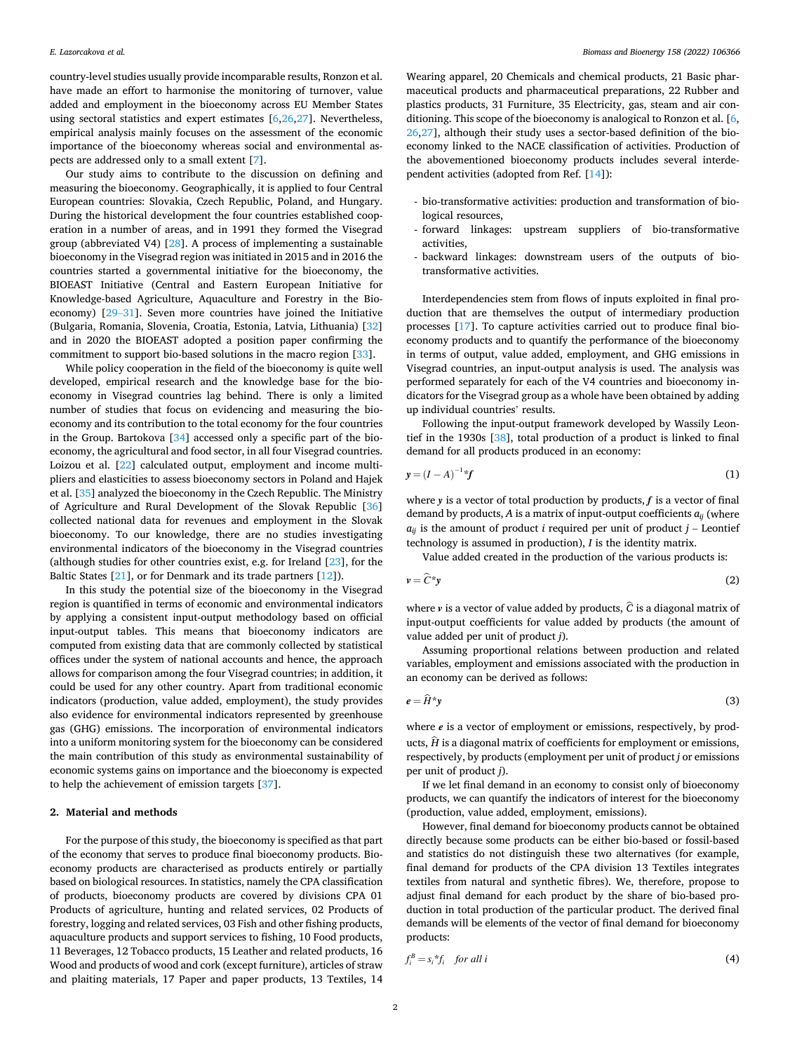<span id="page-1-0"></span>country-level studies usually provide incomparable results, Ronzon et al. have made an effort to harmonise the monitoring of turnover, value added and employment in the bioeconomy across EU Member States using sectoral statistics and expert estimates [[6](#page-7-0),[26,27\]](#page-7-0). Nevertheless, empirical analysis mainly focuses on the assessment of the economic importance of the bioeconomy whereas social and environmental aspects are addressed only to a small extent [\[7\]](#page-7-0).

Our study aims to contribute to the discussion on defining and measuring the bioeconomy. Geographically, it is applied to four Central European countries: Slovakia, Czech Republic, Poland, and Hungary. During the historical development the four countries established cooperation in a number of areas, and in 1991 they formed the Visegrad group (abbreviated V4) [\[28](#page-7-0)]. A process of implementing a sustainable bioeconomy in the Visegrad region was initiated in 2015 and in 2016 the countries started a governmental initiative for the bioeconomy, the BIOEAST Initiative (Central and Eastern European Initiative for Knowledge-based Agriculture, Aquaculture and Forestry in the Bioeconomy) [29–[31\]](#page-7-0). Seven more countries have joined the Initiative (Bulgaria, Romania, Slovenia, Croatia, Estonia, Latvia, Lithuania) [\[32](#page-7-0)] and in 2020 the BIOEAST adopted a position paper confirming the commitment to support bio-based solutions in the macro region [[33\]](#page-7-0).

While policy cooperation in the field of the bioeconomy is quite well developed, empirical research and the knowledge base for the bioeconomy in Visegrad countries lag behind. There is only a limited number of studies that focus on evidencing and measuring the bioeconomy and its contribution to the total economy for the four countries in the Group. Bartokova [[34\]](#page-7-0) accessed only a specific part of the bioeconomy, the agricultural and food sector, in all four Visegrad countries. Loizou et al. [\[22](#page-7-0)] calculated output, employment and income multipliers and elasticities to assess bioeconomy sectors in Poland and Hajek et al. [[35\]](#page-7-0) analyzed the bioeconomy in the Czech Republic. The Ministry of Agriculture and Rural Development of the Slovak Republic [\[36](#page-7-0)] collected national data for revenues and employment in the Slovak bioeconomy. To our knowledge, there are no studies investigating environmental indicators of the bioeconomy in the Visegrad countries (although studies for other countries exist, e.g. for Ireland [\[23](#page-7-0)], for the Baltic States [[21\]](#page-7-0), or for Denmark and its trade partners [[12\]](#page-7-0)).

In this study the potential size of the bioeconomy in the Visegrad region is quantified in terms of economic and environmental indicators by applying a consistent input-output methodology based on official input-output tables. This means that bioeconomy indicators are computed from existing data that are commonly collected by statistical offices under the system of national accounts and hence, the approach allows for comparison among the four Visegrad countries; in addition, it could be used for any other country. Apart from traditional economic indicators (production, value added, employment), the study provides also evidence for environmental indicators represented by greenhouse gas (GHG) emissions. The incorporation of environmental indicators into a uniform monitoring system for the bioeconomy can be considered the main contribution of this study as environmental sustainability of economic systems gains on importance and the bioeconomy is expected to help the achievement of emission targets [\[37](#page-7-0)].

#### **2. Material and methods**

For the purpose of this study, the bioeconomy is specified as that part of the economy that serves to produce final bioeconomy products. Bioeconomy products are characterised as products entirely or partially based on biological resources. In statistics, namely the CPA classification of products, bioeconomy products are covered by divisions CPA 01 Products of agriculture, hunting and related services, 02 Products of forestry, logging and related services, 03 Fish and other fishing products, aquaculture products and support services to fishing, 10 Food products, 11 Beverages, 12 Tobacco products, 15 Leather and related products, 16 Wood and products of wood and cork (except furniture), articles of straw and plaiting materials, 17 Paper and paper products, 13 Textiles, 14

Wearing apparel, 20 Chemicals and chemical products, 21 Basic pharmaceutical products and pharmaceutical preparations, 22 Rubber and plastics products, 31 Furniture, 35 Electricity, gas, steam and air conditioning. This scope of the bioeconomy is analogical to Ronzon et al. [[6](#page-7-0), [26,27\]](#page-7-0), although their study uses a sector-based definition of the bioeconomy linked to the NACE classification of activities. Production of the abovementioned bioeconomy products includes several interdependent activities (adopted from Ref. [\[14](#page-7-0)]):

- bio-transformative activities: production and transformation of biological resources,
- forward linkages: upstream suppliers of bio-transformative activities,
- backward linkages: downstream users of the outputs of biotransformative activities.

Interdependencies stem from flows of inputs exploited in final production that are themselves the output of intermediary production processes [\[17\]](#page-7-0). To capture activities carried out to produce final bioeconomy products and to quantify the performance of the bioeconomy in terms of output, value added, employment, and GHG emissions in Visegrad countries, an input-output analysis is used. The analysis was performed separately for each of the V4 countries and bioeconomy indicators for the Visegrad group as a whole have been obtained by adding up individual countries' results.

Following the input-output framework developed by Wassily Leontief in the 1930s [[38\]](#page-7-0), total production of a product is linked to final demand for all products produced in an economy:

$$
y = (I - A)^{-1} * f \tag{1}
$$

where *y* is a vector of total production by products, *f* is a vector of final demand by products, *A* is a matrix of input-output coefficients *aij* (where  $a_{ij}$  is the amount of product *i* required per unit of product  $j$  – Leontief technology is assumed in production), *I* is the identity matrix.

Value added created in the production of the various products is:

$$
v = \hat{C}^* y \tag{2}
$$

where  $\nu$  is a vector of value added by products,  $\hat{C}$  is a diagonal matrix of input-output coefficients for value added by products (the amount of value added per unit of product *j*).

Assuming proportional relations between production and related variables, employment and emissions associated with the production in an economy can be derived as follows:

$$
e = \widehat{H}^* y \tag{3}
$$

where  $e$  is a vector of employment or emissions, respectively, by products,  $\hat{H}$  is a diagonal matrix of coefficients for employment or emissions, respectively, by products (employment per unit of product *j* or emissions per unit of product *j*).

If we let final demand in an economy to consist only of bioeconomy products, we can quantify the indicators of interest for the bioeconomy (production, value added, employment, emissions).

However, final demand for bioeconomy products cannot be obtained directly because some products can be either bio-based or fossil-based and statistics do not distinguish these two alternatives (for example, final demand for products of the CPA division 13 Textiles integrates textiles from natural and synthetic fibres). We, therefore, propose to adjust final demand for each product by the share of bio-based production in total production of the particular product. The derived final demands will be elements of the vector of final demand for bioeconomy products:

$$
f_i^B = s_i^* f_i \quad \text{for all } i \tag{4}
$$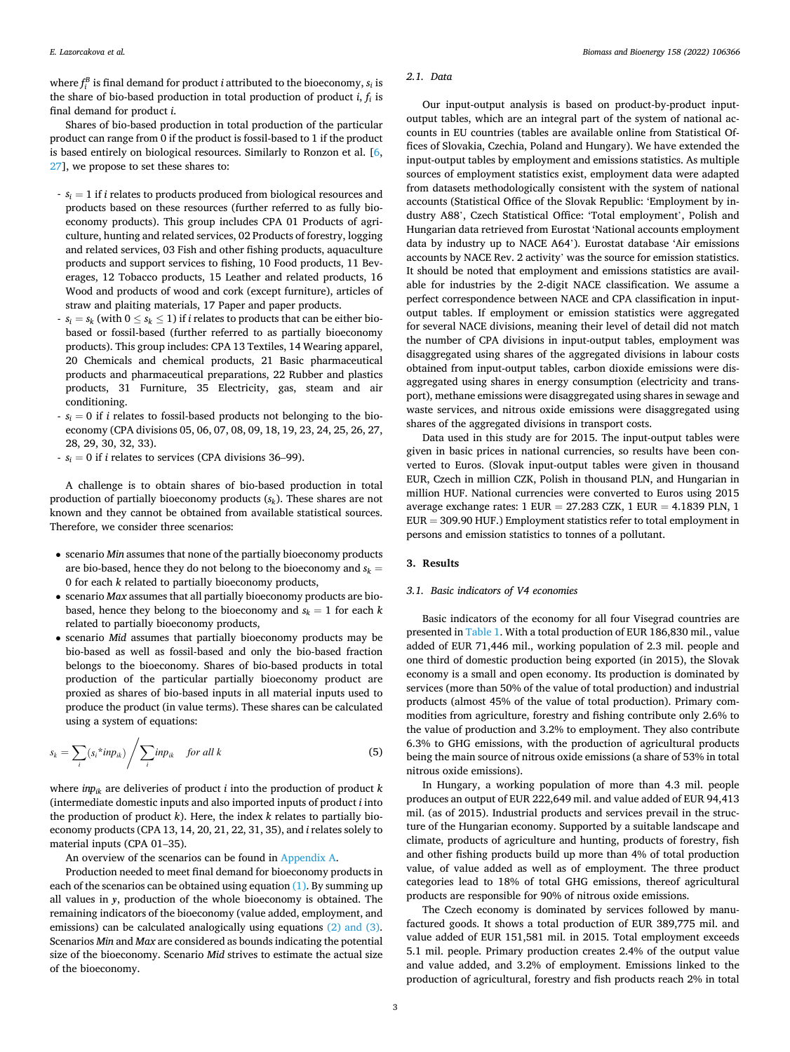<span id="page-2-0"></span>where  $f_i^B$  is final demand for product *i* attributed to the bioeconomy,  $s_i$  is the share of bio-based production in total production of product *i*, *fi* is final demand for product *i*.

Shares of bio-based production in total production of the particular product can range from 0 if the product is fossil-based to 1 if the product is based entirely on biological resources. Similarly to Ronzon et al. [[6](#page-7-0), [27\]](#page-7-0), we propose to set these shares to:

- *si* = 1 if *i* relates to products produced from biological resources and products based on these resources (further referred to as fully bioeconomy products). This group includes CPA 01 Products of agriculture, hunting and related services, 02 Products of forestry, logging and related services, 03 Fish and other fishing products, aquaculture products and support services to fishing, 10 Food products, 11 Beverages, 12 Tobacco products, 15 Leather and related products, 16 Wood and products of wood and cork (except furniture), articles of straw and plaiting materials, 17 Paper and paper products.
- $s_i = s_k$  (with  $0 \le s_k \le 1$ ) if *i* relates to products that can be either biobased or fossil-based (further referred to as partially bioeconomy products). This group includes: CPA 13 Textiles, 14 Wearing apparel, 20 Chemicals and chemical products, 21 Basic pharmaceutical products and pharmaceutical preparations, 22 Rubber and plastics products, 31 Furniture, 35 Electricity, gas, steam and air conditioning.
- $s_i = 0$  if *i* relates to fossil-based products not belonging to the bioeconomy (CPA divisions 05, 06, 07, 08, 09, 18, 19, 23, 24, 25, 26, 27, 28, 29, 30, 32, 33).
- *si* = 0 if *i* relates to services (CPA divisions 36–99).

A challenge is to obtain shares of bio-based production in total production of partially bioeconomy products (*sk*). These shares are not known and they cannot be obtained from available statistical sources. Therefore, we consider three scenarios:

- scenario *Min* assumes that none of the partially bioeconomy products are bio-based, hence they do not belong to the bioeconomy and  $s_k =$ 0 for each *k* related to partially bioeconomy products,
- scenario *Max* assumes that all partially bioeconomy products are biobased, hence they belong to the bioeconomy and  $s_k = 1$  for each  $k$ related to partially bioeconomy products,
- scenario *Mid* assumes that partially bioeconomy products may be bio-based as well as fossil-based and only the bio-based fraction belongs to the bioeconomy. Shares of bio-based products in total production of the particular partially bioeconomy product are proxied as shares of bio-based inputs in all material inputs used to produce the product (in value terms). These shares can be calculated using a system of equations:

$$
s_k = \sum_i (s_i^* \text{inp}_{ik}) / \sum_i \text{inp}_{ik} \quad \text{for all } k
$$
 (5)

where *inpik* are deliveries of product *i* into the production of product *k*  (intermediate domestic inputs and also imported inputs of product *i* into the production of product *k*). Here, the index *k* relates to partially bioeconomy products (CPA 13, 14, 20, 21, 22, 31, 35), and *i* relates solely to material inputs (CPA 01–35).

An overview of the scenarios can be found in [Appendix A](#page-5-0).

Production needed to meet final demand for bioeconomy products in each of the scenarios can be obtained using equation  $(1)$ . By summing up all values in *y*, production of the whole bioeconomy is obtained. The remaining indicators of the bioeconomy (value added, employment, and emissions) can be calculated analogically using equations [\(2\) and \(3\)](#page-1-0). Scenarios *Min* and *Max* are considered as bounds indicating the potential size of the bioeconomy. Scenario *Mid* strives to estimate the actual size of the bioeconomy.

#### *2.1. Data*

Our input-output analysis is based on product-by-product inputoutput tables, which are an integral part of the system of national accounts in EU countries (tables are available online from Statistical Offices of Slovakia, Czechia, Poland and Hungary). We have extended the input-output tables by employment and emissions statistics. As multiple sources of employment statistics exist, employment data were adapted from datasets methodologically consistent with the system of national accounts (Statistical Office of the Slovak Republic: 'Employment by industry A88', Czech Statistical Office: 'Total employment', Polish and Hungarian data retrieved from Eurostat 'National accounts employment data by industry up to NACE A64'). Eurostat database 'Air emissions accounts by NACE Rev. 2 activity' was the source for emission statistics. It should be noted that employment and emissions statistics are available for industries by the 2-digit NACE classification. We assume a perfect correspondence between NACE and CPA classification in inputoutput tables. If employment or emission statistics were aggregated for several NACE divisions, meaning their level of detail did not match the number of CPA divisions in input-output tables, employment was disaggregated using shares of the aggregated divisions in labour costs obtained from input-output tables, carbon dioxide emissions were disaggregated using shares in energy consumption (electricity and transport), methane emissions were disaggregated using shares in sewage and waste services, and nitrous oxide emissions were disaggregated using shares of the aggregated divisions in transport costs.

Data used in this study are for 2015. The input-output tables were given in basic prices in national currencies, so results have been converted to Euros. (Slovak input-output tables were given in thousand EUR, Czech in million CZK, Polish in thousand PLN, and Hungarian in million HUF. National currencies were converted to Euros using 2015 average exchange rates:  $1$  EUR = 27.283 CZK,  $1$  EUR = 4.1839 PLN,  $1$ EUR = 309.90 HUF.) Employment statistics refer to total employment in persons and emission statistics to tonnes of a pollutant.

## **3. Results**

## *3.1. Basic indicators of V4 economies*

Basic indicators of the economy for all four Visegrad countries are presented in [Table 1](#page-3-0). With a total production of EUR 186,830 mil., value added of EUR 71,446 mil., working population of 2.3 mil. people and one third of domestic production being exported (in 2015), the Slovak economy is a small and open economy. Its production is dominated by services (more than 50% of the value of total production) and industrial products (almost 45% of the value of total production). Primary commodities from agriculture, forestry and fishing contribute only 2.6% to the value of production and 3.2% to employment. They also contribute 6.3% to GHG emissions, with the production of agricultural products being the main source of nitrous oxide emissions (a share of 53% in total nitrous oxide emissions).

In Hungary, a working population of more than 4.3 mil. people produces an output of EUR 222,649 mil. and value added of EUR 94,413 mil. (as of 2015). Industrial products and services prevail in the structure of the Hungarian economy. Supported by a suitable landscape and climate, products of agriculture and hunting, products of forestry, fish and other fishing products build up more than 4% of total production value, of value added as well as of employment. The three product categories lead to 18% of total GHG emissions, thereof agricultural products are responsible for 90% of nitrous oxide emissions.

The Czech economy is dominated by services followed by manufactured goods. It shows a total production of EUR 389,775 mil. and value added of EUR 151,581 mil. in 2015. Total employment exceeds 5.1 mil. people. Primary production creates 2.4% of the output value and value added, and 3.2% of employment. Emissions linked to the production of agricultural, forestry and fish products reach 2% in total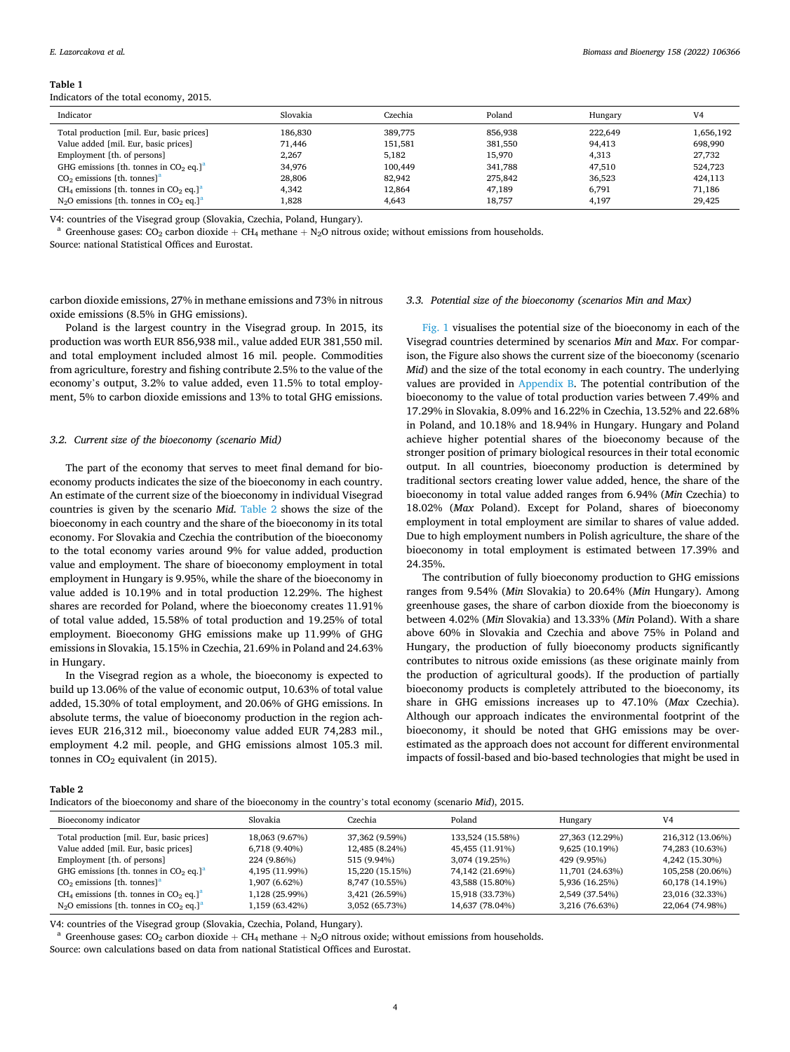#### <span id="page-3-0"></span>**Table 1**

Indicators of the total economy, 2015.

| Indicator                                                                  | Slovakia | Czechia | Poland  | Hungary | V4        |
|----------------------------------------------------------------------------|----------|---------|---------|---------|-----------|
| Total production [mil. Eur, basic prices]                                  | 186,830  | 389.775 | 856.938 | 222.649 | 1,656,192 |
| Value added [mil. Eur. basic prices]                                       | 71.446   | 151,581 | 381,550 | 94,413  | 698,990   |
| Employment [th. of persons]                                                | 2.267    | 5.182   | 15.970  | 4.313   | 27,732    |
| GHG emissions [th. tonnes in $CO2$ eq.] <sup>a</sup>                       | 34.976   | 100.449 | 341,788 | 47.510  | 524,723   |
| $CO2$ emissions [th. tonnes] <sup>a</sup>                                  | 28,806   | 82.942  | 275,842 | 36,523  | 424,113   |
| CH <sub>4</sub> emissions [th. tonnes in CO <sub>2</sub> eq.] <sup>a</sup> | 4.342    | 12.864  | 47.189  | 6,791   | 71,186    |
| $N2O$ emissions [th. tonnes in CO <sub>2</sub> eq.] <sup>a</sup>           | l.828    | 4,643   | 18.757  | 4,197   | 29,425    |

V4: countries of the Visegrad group (Slovakia, Czechia, Poland, Hungary).<br><sup>a</sup> Greenhouse gases: CO<sub>2</sub> carbon dioxide + CH<sub>4</sub> methane + N<sub>2</sub>O nitrous oxide; without emissions from households. Source: national Statistical Offices and Eurostat.

carbon dioxide emissions, 27% in methane emissions and 73% in nitrous oxide emissions (8.5% in GHG emissions).

Poland is the largest country in the Visegrad group. In 2015, its production was worth EUR 856,938 mil., value added EUR 381,550 mil. and total employment included almost 16 mil. people. Commodities from agriculture, forestry and fishing contribute 2.5% to the value of the economy's output, 3.2% to value added, even 11.5% to total employment, 5% to carbon dioxide emissions and 13% to total GHG emissions.

#### *3.2. Current size of the bioeconomy (scenario Mid)*

The part of the economy that serves to meet final demand for bioeconomy products indicates the size of the bioeconomy in each country. An estimate of the current size of the bioeconomy in individual Visegrad countries is given by the scenario *Mid*. Table 2 shows the size of the bioeconomy in each country and the share of the bioeconomy in its total economy. For Slovakia and Czechia the contribution of the bioeconomy to the total economy varies around 9% for value added, production value and employment. The share of bioeconomy employment in total employment in Hungary is 9.95%, while the share of the bioeconomy in value added is 10.19% and in total production 12.29%. The highest shares are recorded for Poland, where the bioeconomy creates 11.91% of total value added, 15.58% of total production and 19.25% of total employment. Bioeconomy GHG emissions make up 11.99% of GHG emissions in Slovakia, 15.15% in Czechia, 21.69% in Poland and 24.63% in Hungary.

In the Visegrad region as a whole, the bioeconomy is expected to build up 13.06% of the value of economic output, 10.63% of total value added, 15.30% of total employment, and 20.06% of GHG emissions. In absolute terms, the value of bioeconomy production in the region achieves EUR 216,312 mil., bioeconomy value added EUR 74,283 mil., employment 4.2 mil. people, and GHG emissions almost 105.3 mil. tonnes in  $CO<sub>2</sub>$  equivalent (in 2015).

#### *3.3. Potential size of the bioeconomy (scenarios Min and Max)*

[Fig. 1](#page-4-0) visualises the potential size of the bioeconomy in each of the Visegrad countries determined by scenarios *Min* and *Max*. For comparison, the Figure also shows the current size of the bioeconomy (scenario *Mid*) and the size of the total economy in each country. The underlying values are provided in [Appendix B.](#page-5-0) The potential contribution of the bioeconomy to the value of total production varies between 7.49% and 17.29% in Slovakia, 8.09% and 16.22% in Czechia, 13.52% and 22.68% in Poland, and 10.18% and 18.94% in Hungary. Hungary and Poland achieve higher potential shares of the bioeconomy because of the stronger position of primary biological resources in their total economic output. In all countries, bioeconomy production is determined by traditional sectors creating lower value added, hence, the share of the bioeconomy in total value added ranges from 6.94% (*Min* Czechia) to 18.02% (*Max* Poland). Except for Poland, shares of bioeconomy employment in total employment are similar to shares of value added. Due to high employment numbers in Polish agriculture, the share of the bioeconomy in total employment is estimated between 17.39% and 24.35%.

The contribution of fully bioeconomy production to GHG emissions ranges from 9.54% (*Min* Slovakia) to 20.64% (*Min* Hungary). Among greenhouse gases, the share of carbon dioxide from the bioeconomy is between 4.02% (*Min* Slovakia) and 13.33% (*Min* Poland). With a share above 60% in Slovakia and Czechia and above 75% in Poland and Hungary, the production of fully bioeconomy products significantly contributes to nitrous oxide emissions (as these originate mainly from the production of agricultural goods). If the production of partially bioeconomy products is completely attributed to the bioeconomy, its share in GHG emissions increases up to 47.10% (*Max* Czechia). Although our approach indicates the environmental footprint of the bioeconomy, it should be noted that GHG emissions may be overestimated as the approach does not account for different environmental impacts of fossil-based and bio-based technologies that might be used in

#### **Table 2**

Indicators of the bioeconomy and share of the bioeconomy in the country's total economy (scenario *Mid*), 2015.

| Bioeconomy indicator                                             | Slovakia       | Czechia         | Poland           | Hungary         | V <sub>4</sub>   |
|------------------------------------------------------------------|----------------|-----------------|------------------|-----------------|------------------|
| Total production [mil. Eur, basic prices]                        | 18,063 (9.67%) | 37,362 (9.59%)  | 133,524 (15.58%) | 27,363 (12.29%) | 216,312 (13.06%) |
| Value added [mil. Eur, basic prices]                             | 6,718 (9.40%)  | 12,485 (8.24%)  | 45,455 (11.91%)  | 9,625 (10.19%)  | 74,283 (10.63%)  |
| Employment [th. of persons]                                      | 224 (9.86%)    | 515 (9.94%)     | 3,074 (19.25%)   | 429 (9.95%)     | 4,242 (15.30%)   |
| GHG emissions [th. tonnes in $CO2$ eq.] <sup>a</sup>             | 4,195 (11.99%) | 15,220 (15.15%) | 74,142 (21.69%)  | 11,701 (24.63%) | 105,258 (20.06%) |
| $CO2$ emissions [th. tonnes] <sup>a</sup>                        | 1,907 (6.62%)  | 8,747 (10.55%)  | 43,588 (15.80%)  | 5,936 (16.25%)  | 60,178 (14.19%)  |
| $CH4$ emissions [th. tonnes in CO <sub>2</sub> eq.] <sup>a</sup> | 1,128 (25.99%) | 3,421 (26.59%)  | 15,918 (33.73%)  | 2,549 (37.54%)  | 23,016 (32.33%)  |
| $N2O$ emissions [th. tonnes in CO <sub>2</sub> eq.] <sup>a</sup> | 1,159 (63.42%) | 3,052 (65.73%)  | 14,637 (78.04%)  | 3,216 (76.63%)  | 22,064 (74.98%)  |

V4: countries of the Visegrad group (Slovakia, Czechia, Poland, Hungary).<br><sup>a</sup> Greenhouse gases: CO<sub>2</sub> carbon dioxide + CH<sub>4</sub> methane + N<sub>2</sub>O nitrous oxide; without emissions from households.

Source: own calculations based on data from national Statistical Offices and Eurostat.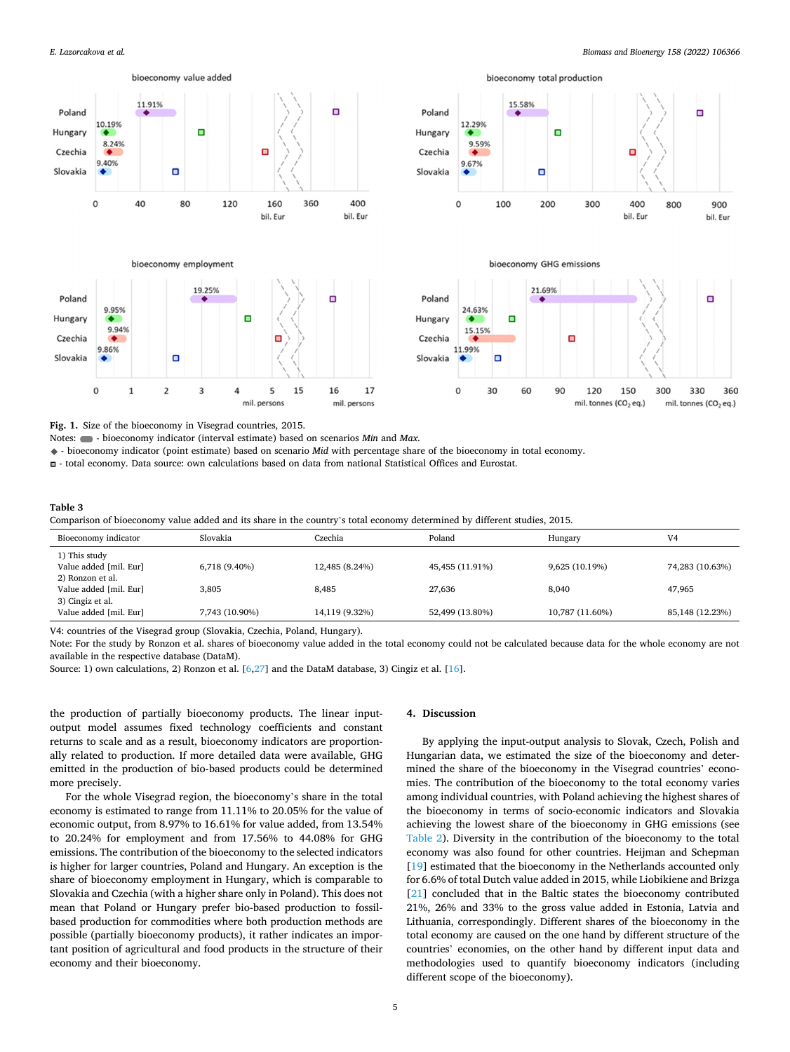<span id="page-4-0"></span>

**Fig. 1.** Size of the bioeconomy in Visegrad countries, 2015.

Notes:  $\bullet$  - bioeconomy indicator (interval estimate) based on scenarios *Min* and *Max.* 

- bioeconomy indicator (point estimate) based on scenario *Mid* with percentage share of the bioeconomy in total economy.

- total economy. Data source: own calculations based on data from national Statistical Offices and Eurostat.

#### **Table 3**

Comparison of bioeconomy value added and its share in the country's total economy determined by different studies, 2015.

| Bioeconomy indicator                                           | Slovakia       | Czechia        | Poland          | Hungary         | V <sub>4</sub>  |
|----------------------------------------------------------------|----------------|----------------|-----------------|-----------------|-----------------|
| 1) This study<br>Value added [mil. Eur]                        | 6,718 (9.40%)  | 12,485 (8.24%) | 45,455 (11.91%) | 9,625 (10.19%)  | 74,283 (10.63%) |
| 2) Ronzon et al.<br>Value added [mil. Eur]<br>3) Cingiz et al. | 3,805          | 8,485          | 27,636          | 8,040           | 47,965          |
| Value added [mil. Eur]                                         | 7,743 (10.90%) | 14,119 (9.32%) | 52,499 (13.80%) | 10,787 (11.60%) | 85,148 (12.23%) |

V4: countries of the Visegrad group (Slovakia, Czechia, Poland, Hungary).

Note: For the study by Ronzon et al. shares of bioeconomy value added in the total economy could not be calculated because data for the whole economy are not available in the respective database (DataM).

Source: 1) own calculations, 2) Ronzon et al. [[6,27\]](#page-7-0) and the DataM database, 3) Cingiz et al. [\[16](#page-7-0)].

the production of partially bioeconomy products. The linear inputoutput model assumes fixed technology coefficients and constant returns to scale and as a result, bioeconomy indicators are proportionally related to production. If more detailed data were available, GHG emitted in the production of bio-based products could be determined more precisely.

For the whole Visegrad region, the bioeconomy's share in the total economy is estimated to range from 11.11% to 20.05% for the value of economic output, from 8.97% to 16.61% for value added, from 13.54% to 20.24% for employment and from 17.56% to 44.08% for GHG emissions. The contribution of the bioeconomy to the selected indicators is higher for larger countries, Poland and Hungary. An exception is the share of bioeconomy employment in Hungary, which is comparable to Slovakia and Czechia (with a higher share only in Poland). This does not mean that Poland or Hungary prefer bio-based production to fossilbased production for commodities where both production methods are possible (partially bioeconomy products), it rather indicates an important position of agricultural and food products in the structure of their economy and their bioeconomy.

## **4. Discussion**

By applying the input-output analysis to Slovak, Czech, Polish and Hungarian data, we estimated the size of the bioeconomy and determined the share of the bioeconomy in the Visegrad countries' economies. The contribution of the bioeconomy to the total economy varies among individual countries, with Poland achieving the highest shares of the bioeconomy in terms of socio-economic indicators and Slovakia achieving the lowest share of the bioeconomy in GHG emissions (see [Table 2\)](#page-3-0). Diversity in the contribution of the bioeconomy to the total economy was also found for other countries. Heijman and Schepman [[19\]](#page-7-0) estimated that the bioeconomy in the Netherlands accounted only for 6.6% of total Dutch value added in 2015, while Liobikiene and Brizga [[21\]](#page-7-0) concluded that in the Baltic states the bioeconomy contributed 21%, 26% and 33% to the gross value added in Estonia, Latvia and Lithuania, correspondingly. Different shares of the bioeconomy in the total economy are caused on the one hand by different structure of the countries' economies, on the other hand by different input data and methodologies used to quantify bioeconomy indicators (including different scope of the bioeconomy).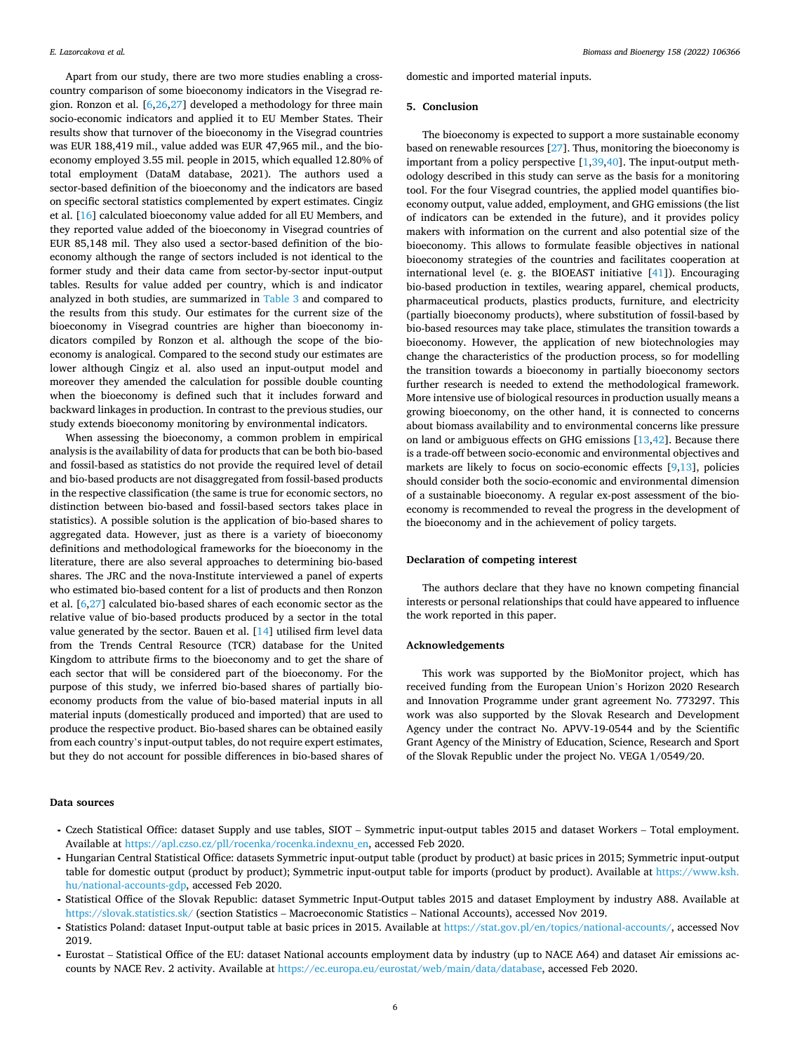domestic and imported material inputs.

#### **5. Conclusion**

country comparison of some bioeconomy indicators in the Visegrad region. Ronzon et al. [[6,26](#page-7-0),[27\]](#page-7-0) developed a methodology for three main socio-economic indicators and applied it to EU Member States. Their results show that turnover of the bioeconomy in the Visegrad countries was EUR 188,419 mil., value added was EUR 47,965 mil., and the bioeconomy employed 3.55 mil. people in 2015, which equalled 12.80% of total employment (DataM database, 2021). The authors used a sector-based definition of the bioeconomy and the indicators are based on specific sectoral statistics complemented by expert estimates. Cingiz et al. [[16\]](#page-7-0) calculated bioeconomy value added for all EU Members, and they reported value added of the bioeconomy in Visegrad countries of EUR 85,148 mil. They also used a sector-based definition of the bioeconomy although the range of sectors included is not identical to the former study and their data came from sector-by-sector input-output tables. Results for value added per country, which is and indicator analyzed in both studies, are summarized in [Table 3](#page-4-0) and compared to the results from this study. Our estimates for the current size of the bioeconomy in Visegrad countries are higher than bioeconomy indicators compiled by Ronzon et al. although the scope of the bioeconomy is analogical. Compared to the second study our estimates are lower although Cingiz et al. also used an input-output model and moreover they amended the calculation for possible double counting when the bioeconomy is defined such that it includes forward and backward linkages in production. In contrast to the previous studies, our study extends bioeconomy monitoring by environmental indicators.

<span id="page-5-0"></span>Apart from our study, there are two more studies enabling a cross-

When assessing the bioeconomy, a common problem in empirical analysis is the availability of data for products that can be both bio-based and fossil-based as statistics do not provide the required level of detail and bio-based products are not disaggregated from fossil-based products in the respective classification (the same is true for economic sectors, no distinction between bio-based and fossil-based sectors takes place in statistics). A possible solution is the application of bio-based shares to aggregated data. However, just as there is a variety of bioeconomy definitions and methodological frameworks for the bioeconomy in the literature, there are also several approaches to determining bio-based shares. The JRC and the nova-Institute interviewed a panel of experts who estimated bio-based content for a list of products and then Ronzon et al. [[6](#page-7-0),[27\]](#page-7-0) calculated bio-based shares of each economic sector as the relative value of bio-based products produced by a sector in the total value generated by the sector. Bauen et al. [[14\]](#page-7-0) utilised firm level data from the Trends Central Resource (TCR) database for the United Kingdom to attribute firms to the bioeconomy and to get the share of each sector that will be considered part of the bioeconomy. For the purpose of this study, we inferred bio-based shares of partially bioeconomy products from the value of bio-based material inputs in all material inputs (domestically produced and imported) that are used to produce the respective product. Bio-based shares can be obtained easily from each country's input-output tables, do not require expert estimates, but they do not account for possible differences in bio-based shares of

The bioeconomy is expected to support a more sustainable economy based on renewable resources [[27\]](#page-7-0). Thus, monitoring the bioeconomy is important from a policy perspective  $[1,39,40]$  $[1,39,40]$  $[1,39,40]$  $[1,39,40]$ . The input-output methodology described in this study can serve as the basis for a monitoring tool. For the four Visegrad countries, the applied model quantifies bioeconomy output, value added, employment, and GHG emissions (the list of indicators can be extended in the future), and it provides policy makers with information on the current and also potential size of the bioeconomy. This allows to formulate feasible objectives in national bioeconomy strategies of the countries and facilitates cooperation at international level (e. g. the BIOEAST initiative [[41\]](#page-7-0)). Encouraging bio-based production in textiles, wearing apparel, chemical products, pharmaceutical products, plastics products, furniture, and electricity (partially bioeconomy products), where substitution of fossil-based by bio-based resources may take place, stimulates the transition towards a bioeconomy. However, the application of new biotechnologies may change the characteristics of the production process, so for modelling the transition towards a bioeconomy in partially bioeconomy sectors further research is needed to extend the methodological framework. More intensive use of biological resources in production usually means a growing bioeconomy, on the other hand, it is connected to concerns about biomass availability and to environmental concerns like pressure on land or ambiguous effects on GHG emissions [[13,42](#page-7-0)]. Because there is a trade-off between socio-economic and environmental objectives and markets are likely to focus on socio-economic effects [\[9,13\]](#page-7-0), policies should consider both the socio-economic and environmental dimension of a sustainable bioeconomy. A regular ex-post assessment of the bioeconomy is recommended to reveal the progress in the development of the bioeconomy and in the achievement of policy targets.

#### **Declaration of competing interest**

The authors declare that they have no known competing financial interests or personal relationships that could have appeared to influence the work reported in this paper.

#### **Acknowledgements**

This work was supported by the BioMonitor project, which has received funding from the European Union's Horizon 2020 Research and Innovation Programme under grant agreement No. 773297. This work was also supported by the Slovak Research and Development Agency under the contract No. APVV-19-0544 and by the Scientific Grant Agency of the Ministry of Education, Science, Research and Sport of the Slovak Republic under the project No. VEGA 1/0549/20.

#### **Data sources**

- ⁃ Czech Statistical Office: dataset Supply and use tables, SIOT Symmetric input-output tables 2015 and dataset Workers Total employment. Available at [https://apl.czso.cz/pll/rocenka/rocenka.indexnu\\_en](https://apl.czso.cz/pll/rocenka/rocenka.indexnu_en), accessed Feb 2020.
- ⁃ Hungarian Central Statistical Office: datasets Symmetric input-output table (product by product) at basic prices in 2015; Symmetric input-output table for domestic output (product by product); Symmetric input-output table for imports (product by product). Available at [https://www.ksh.](https://www.ksh.hu/national-accounts-gdp)  [hu/national-accounts-gdp](https://www.ksh.hu/national-accounts-gdp), accessed Feb 2020.
- ⁃ Statistical Office of the Slovak Republic: dataset Symmetric Input-Output tables 2015 and dataset Employment by industry A88. Available at <https://slovak.statistics.sk/>(section Statistics – Macroeconomic Statistics – National Accounts), accessed Nov 2019.
- ⁃ Statistics Poland: dataset Input-output table at basic prices in 2015. Available at <https://stat.gov.pl/en/topics/national-accounts/>, accessed Nov 2019.
- ⁃ Eurostat Statistical Office of the EU: dataset National accounts employment data by industry (up to NACE A64) and dataset Air emissions accounts by NACE Rev. 2 activity. Available at [https://ec.europa.eu/eurostat/web/main/data/database,](https://ec.europa.eu/eurostat/web/main/data/database) accessed Feb 2020.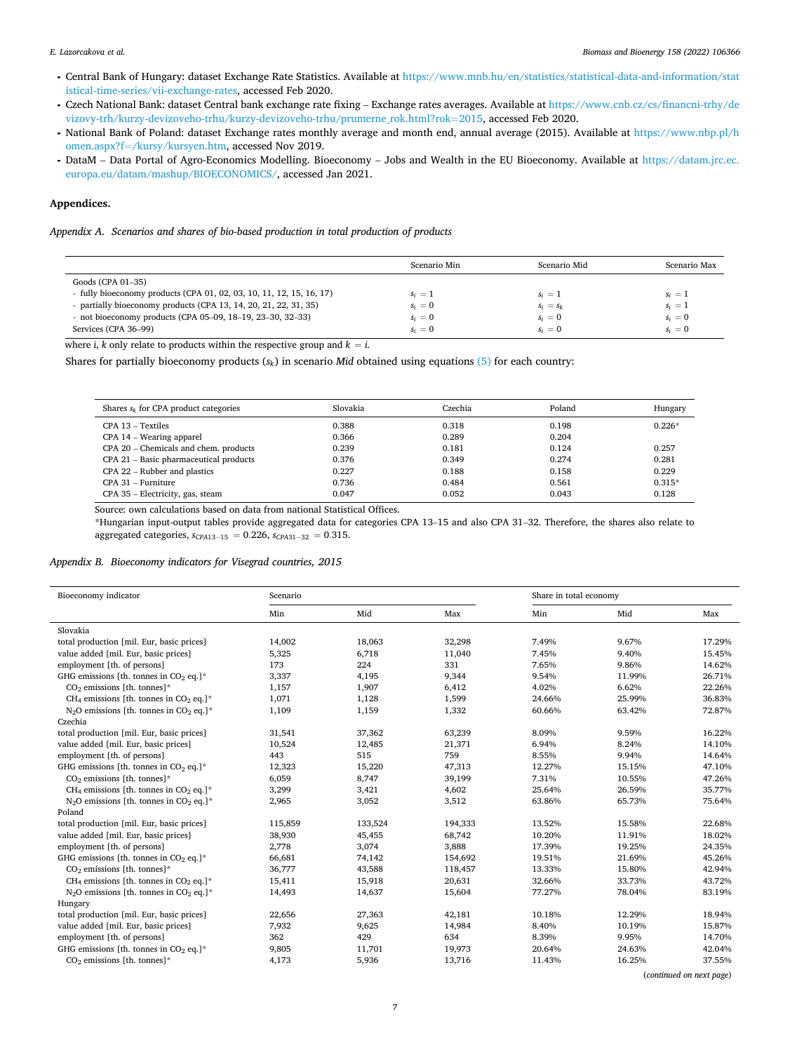- ⁃ Central Bank of Hungary: dataset Exchange Rate Statistics. Available at [https://www.mnb.hu/en/statistics/statistical-data-and-information/stat](https://www.mnb.hu/en/statistics/statistical-data-and-information/statistical-time-series/vii-exchange-rates)  [istical-time-series/vii-exchange-rates,](https://www.mnb.hu/en/statistics/statistical-data-and-information/statistical-time-series/vii-exchange-rates) accessed Feb 2020.
- ⁃ Czech National Bank: dataset Central bank exchange rate fixing Exchange rates averages. Available at [https://www.cnb.cz/cs/financni-trhy/de](https://www.cnb.cz/cs/financni-trhy/devizovy-trh/kurzy-devizoveho-trhu/kurzy-devizoveho-trhu/prumerne_rok.html?rok=2015)  [vizovy-trh/kurzy-devizoveho-trhu/kurzy-devizoveho-trhu/prumerne\\_rok.html?rok](https://www.cnb.cz/cs/financni-trhy/devizovy-trh/kurzy-devizoveho-trhu/kurzy-devizoveho-trhu/prumerne_rok.html?rok=2015)=2015, accessed Feb 2020.
- ⁃ National Bank of Poland: dataset Exchange rates monthly average and month end, annual average (2015). Available at [https://www.nbp.pl/h](https://www.nbp.pl/homen.aspx?f=/kursy/kursyen.htm)  omen.aspx?f=[/kursy/kursyen.htm,](https://www.nbp.pl/homen.aspx?f=/kursy/kursyen.htm) accessed Nov 2019.
- ⁃ DataM Data Portal of Agro-Economics Modelling. Bioeconomy Jobs and Wealth in the EU Bioeconomy. Available at [https://datam.jrc.ec.](https://datam.jrc.ec.europa.eu/datam/mashup/BIOECONOMICS/)  [europa.eu/datam/mashup/BIOECONOMICS/,](https://datam.jrc.ec.europa.eu/datam/mashup/BIOECONOMICS/) accessed Jan 2021.

## **Appendices.**

*Appendix A. Scenarios and shares of bio-based production in total production of products* 

|                                                                      | Scenario Min | Scenario Mid | Scenario Max |
|----------------------------------------------------------------------|--------------|--------------|--------------|
| Goods (CPA 01-35)                                                    |              |              |              |
| - fully bioeconomy products (CPA 01, 02, 03, 10, 11, 12, 15, 16, 17) | $s_i = 1$    | $s_i = 1$    | $s_i = 1$    |
| - partially bioeconomy products (CPA 13, 14, 20, 21, 22, 31, 35)     | $s_i = 0$    | $s_i = s_k$  | $s_i = 1$    |
| - not bioeconomy products (CPA 05-09, $18-19$ , $23-30$ , $32-33$ )  | $s_i = 0$    | $s_i = 0$    | $s_i = 0$    |
| Services (CPA 36-99)                                                 | $s_i = 0$    | $s_i = 0$    | $s_i = 0$    |

where *i*, *k* only relate to products within the respective group and  $k = i$ .

Shares for partially bioeconomy products  $(s_k)$  in scenario *Mid* obtained using equations [\(5\)](#page-2-0) for each country:

| Shares $s_k$ for CPA product categories | Slovakia | Czechia | Poland | Hungary  |
|-----------------------------------------|----------|---------|--------|----------|
| CPA 13 – Textiles                       | 0.388    | 0.318   | 0.198  | $0.226*$ |
| CPA 14 – Wearing apparel                | 0.366    | 0.289   | 0.204  |          |
| CPA 20 – Chemicals and chem. products   | 0.239    | 0.181   | 0.124  | 0.257    |
| CPA 21 - Basic pharmaceutical products  | 0.376    | 0.349   | 0.274  | 0.281    |
| CPA 22 – Rubber and plastics            | 0.227    | 0.188   | 0.158  | 0.229    |
| $CPA 31 - Furthermore$                  | 0.736    | 0.484   | 0.561  | $0.315*$ |
| CPA 35 - Electricity, gas, steam        | 0.047    | 0.052   | 0.043  | 0.128    |

Source: own calculations based on data from national Statistical Offices.

\*Hungarian input-output tables provide aggregated data for categories CPA 13–15 and also CPA 31–32. Therefore, the shares also relate to aggregated categories, *sCPA*13<sup>−</sup> <sup>15</sup> = 0*.*226, *sCPA*31<sup>−</sup> <sup>32</sup> = 0*.*315.

## *Appendix B. Bioeconomy indicators for Visegrad countries, 2015*

| Bioeconomy indicator                                                       | Scenario |         |         | Share in total economy |        |        |
|----------------------------------------------------------------------------|----------|---------|---------|------------------------|--------|--------|
|                                                                            | Min      | Mid     | Max     | Min                    | Mid    | Max    |
| Slovakia                                                                   |          |         |         |                        |        |        |
| total production [mil. Eur, basic prices]                                  | 14,002   | 18,063  | 32,298  | 7.49%                  | 9.67%  | 17.29% |
| value added [mil. Eur, basic prices]                                       | 5,325    | 6,718   | 11,040  | 7.45%                  | 9.40%  | 15.45% |
| employment [th. of persons]                                                | 173      | 224     | 331     | 7.65%                  | 9.86%  | 14.62% |
| GHG emissions [th. tonnes in $CO2$ eq.]*                                   | 3,337    | 4,195   | 9,344   | 9.54%                  | 11.99% | 26.71% |
| $CO2$ emissions [th. tonnes]*                                              | 1,157    | 1,907   | 6,412   | 4.02%                  | 6.62%  | 22.26% |
| CH <sub>4</sub> emissions [th. tonnes in CO <sub>2</sub> eq.]*             | 1,071    | 1,128   | 1,599   | 24.66%                 | 25.99% | 36.83% |
| $N2O$ emissions [th. tonnes in CO <sub>2</sub> eq.]*                       | 1,109    | 1,159   | 1,332   | 60.66%                 | 63.42% | 72.87% |
| Czechia                                                                    |          |         |         |                        |        |        |
| total production [mil. Eur, basic prices]                                  | 31,541   | 37,362  | 63,239  | 8.09%                  | 9.59%  | 16.22% |
| value added [mil. Eur, basic prices]                                       | 10,524   | 12,485  | 21,371  | 6.94%                  | 8.24%  | 14.10% |
| employment [th. of persons]                                                | 443      | 515     | 759     | 8.55%                  | 9.94%  | 14.64% |
| GHG emissions [th. tonnes in $CO2$ eq.]*                                   | 12,323   | 15,220  | 47,313  | 12.27%                 | 15.15% | 47.10% |
| $CO2$ emissions [th. tonnes]*                                              | 6,059    | 8,747   | 39,199  | 7.31%                  | 10.55% | 47.26% |
| CH <sub>4</sub> emissions [th. tonnes in CO <sub>2</sub> eq.] <sup>*</sup> | 3,299    | 3,421   | 4,602   | 25.64%                 | 26.59% | 35.77% |
| $N2O$ emissions [th. tonnes in CO <sub>2</sub> eq.]*                       | 2,965    | 3,052   | 3,512   | 63.86%                 | 65.73% | 75.64% |
| Poland                                                                     |          |         |         |                        |        |        |
| total production [mil. Eur, basic prices]                                  | 115,859  | 133,524 | 194,333 | 13.52%                 | 15.58% | 22.68% |
| value added [mil. Eur, basic prices]                                       | 38,930   | 45,455  | 68,742  | 10.20%                 | 11.91% | 18.02% |
| employment [th. of persons]                                                | 2,778    | 3,074   | 3,888   | 17.39%                 | 19.25% | 24.35% |
| GHG emissions [th. tonnes in $CO2$ eq.]*                                   | 66,681   | 74,142  | 154,692 | 19.51%                 | 21.69% | 45.26% |
| $CO2$ emissions [th. tonnes]*                                              | 36,777   | 43,588  | 118,457 | 13.33%                 | 15.80% | 42.94% |
| CH <sub>4</sub> emissions [th. tonnes in CO <sub>2</sub> eq.] <sup>*</sup> | 15,411   | 15,918  | 20,631  | 32.66%                 | 33.73% | 43.72% |
| $N2O$ emissions [th. tonnes in CO <sub>2</sub> eq.]*                       | 14,493   | 14,637  | 15,604  | 77.27%                 | 78.04% | 83.19% |
| Hungary                                                                    |          |         |         |                        |        |        |
| total production [mil. Eur, basic prices]                                  | 22,656   | 27,363  | 42,181  | 10.18%                 | 12.29% | 18.94% |
| value added [mil. Eur, basic prices]                                       | 7,932    | 9,625   | 14,984  | 8.40%                  | 10.19% | 15.87% |
| employment [th. of persons]                                                | 362      | 429     | 634     | 8.39%                  | 9.95%  | 14.70% |
| GHG emissions [th. tonnes in $CO2$ eq.]*                                   | 9,805    | 11,701  | 19,973  | 20.64%                 | 24.63% | 42.04% |
| $CO2$ emissions [th. tonnes]*                                              | 4,173    | 5,936   | 13,716  | 11.43%                 | 16.25% | 37.55% |
|                                                                            |          |         |         |                        |        |        |

(*continued on next page*)